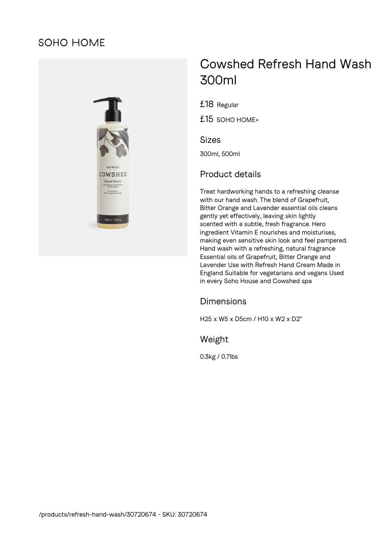# **SOHO HOME**



# Cowshed Refresh Hand Wash 300ml

£18 Regular

£15 SOHO HOME+

#### Sizes

300ml, 500ml

## Product details

Treat hardworking hands to a refreshing cleanse with our hand wash. The blend of Grapefruit, Bitter Orange and Lavender essential oils cleans gently yet effectively, leaving skin lightly scented with a subtle, fresh fragrance. Hero ingredient Vitamin E nourishes and moisturises, making even sensitive skin look and feel pampered. Hand wash with a refreshing, natural fragrance Essential oils of Grapefruit, Bitter Orange and Lavender Use with Refresh Hand Cream Made in England Suitable for vegetarians and vegans Used in every Soho House and Cowshed spa

#### Dimensions

H25 x W5 x D5cm / H10 x W2 x D2"

### Weight

0.3kg / 0.7lbs